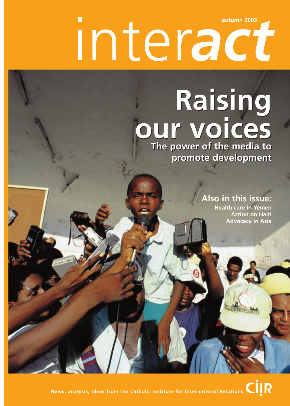# inter*act* **autumn 2003**

# **Raising Raising our voices our voices**

**The power of the media to promote development The power of the media to promote development**

## **Also in this issue:**

**Health care in Yemen Action on Haiti Advocacy in Asia**

**News, analysis, ideas from the Catholic Institute for International Relations CIIR**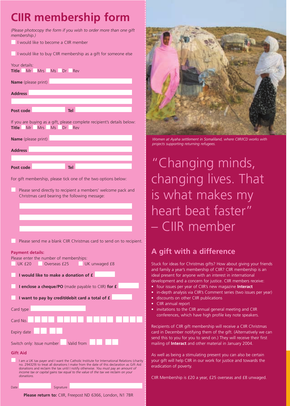## **CIIR membership form**

*(Please photocopy the form if you wish to order more than one gift membership.)* 

I would like to become a CIIR member

I would like to buy CIIR membership as a gift for someone else

Your details: **Title** Mr Mrs Ms Dr Rev

**Name** (please print)

**Address**

Post code **Tel** 

If you are buying as a gift, please complete recipient's details below: **Title** Mr Mrs Ms Dr Rev

| <b>Name</b> (please print) |  |            |  |  |  |
|----------------------------|--|------------|--|--|--|
| <b>Address</b>             |  |            |  |  |  |
| Post code                  |  | <b>Tel</b> |  |  |  |
|                            |  |            |  |  |  |

For gift membership, please tick one of the two options below:

Please send directly to recipient a members' welcome pack and Christmas card bearing the following message:

Please send me a blank CIIR Christmas card to send on to recipient.

#### **Payment details:**

| Please enter the number of memberships:            |                                                                                                                                                                                                                                                                                                                                                                |  |  |  |
|----------------------------------------------------|----------------------------------------------------------------------------------------------------------------------------------------------------------------------------------------------------------------------------------------------------------------------------------------------------------------------------------------------------------------|--|--|--|
| UKf20<br>Overseas £25                              | UK unwaged £8                                                                                                                                                                                                                                                                                                                                                  |  |  |  |
| I would like to make a donation of £               |                                                                                                                                                                                                                                                                                                                                                                |  |  |  |
| I enclose a cheque/PO (made payable to CIIR) for £ |                                                                                                                                                                                                                                                                                                                                                                |  |  |  |
| I want to pay by credit/debit card a total of £    |                                                                                                                                                                                                                                                                                                                                                                |  |  |  |
| Card type                                          |                                                                                                                                                                                                                                                                                                                                                                |  |  |  |
| Card No                                            |                                                                                                                                                                                                                                                                                                                                                                |  |  |  |
| Expiry date                                        |                                                                                                                                                                                                                                                                                                                                                                |  |  |  |
| Switch only: Issue number                          | Valid from                                                                                                                                                                                                                                                                                                                                                     |  |  |  |
| <b>Gift Aid</b>                                    |                                                                                                                                                                                                                                                                                                                                                                |  |  |  |
| donations.                                         | I am a UK tax payer and I want the Catholic Institute for International Relations (charity<br>no. 294329) to treat all donations I make from the date of this declaration as Gift Aid<br>donations and reclaim the tax until I notify otherwise. You must pay an amount of<br>income tax or capital gains tax equal to the value of the tax we reclaim on your |  |  |  |
| Signature<br>Date                                  |                                                                                                                                                                                                                                                                                                                                                                |  |  |  |



*Women at Ayaha settlement in Somaliland, where CIIR/ICD works with projects supporting returning refugees.*

## "Changing minds, changing lives. That is what makes my heart beat faster" – CIIR member

## **A gift with a difference**

Stuck for ideas for Christmas gifts? How about giving your friends and family a year's membership of CIIR? CIIR membership is an ideal present for anyone with an interest in international development and a concern for justice. CIIR members receive:

- four issues per year of CIIR's new magazine **Interact**
- in-depth analysis via CIIR's Comment series (two issues per year)
- discounts on other CIIR publications
- CIIR annual report
- invitations to the CIIR annual general meeting and CIIR conferences, which have high profile key note speakers.

Recipients of CIIR gift membership will receive a CIIR Christmas card in December notifying them of the gift. (Alternatively we can send this to you for you to send on.) They will receive their first mailing of **Interact** and other material in January 2004.

As well as being a stimulating present you can also be certain your gift will help CIIR in our work for justice and towards the eradication of poverty.

CIIR Membership is £20 a year, £25 overseas and £8 unwaged.

**Please return to:** CIIR, Freepost ND 6366, London, N1 7BR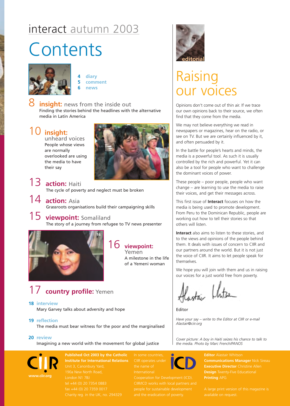## interact autumn 2003

# **Contents**



**4 diary 5 comment 6 news**

**insight:** news from the inside out Finding the stories behind the headlines with the alternative media in Latin America

## 10 **insight:**

unheard voices People whose views are normally overlooked are using the media to have their say



- 13 **action:** Haiti The cycle of poverty and neglect must be broken
- 14 **action:** Asia Grassroots organisations build their campaigning skills

## 15 **viewpoint:** Somaliland The story of a journey from refugee to TV news presenter



## 16 **viewpoint:**

Yemen A milestone in the life of a Yemeni woman

## 17 **country profile:** Yemen

#### **18 interview**

Mary Garvey talks about adversity and hope

**19 reflection**

The media must bear witness for the poor and the marginalised

**20 review**

Imagining a new world with the movement for global justice



**Published Oct 2003 by the Catholic Institute for International Relations** CIIR operates under



## Raising our voices

Opinions don't come out of thin air. If we trace our own opinions back to their source, we often find that they come from the media.

We may not believe everything we read in newspapers or magazines, hear on the radio, or see on TV. But we are certainly influenced by it, and often persuaded by it.

In the battle for people's hearts and minds, the media is a powerful tool. As such it is usually controlled by the rich and powerful. Yet it can also be a tool for people who want to challenge the dominant voices of power.

These people – poor people, people who want change – are learning to use the media to raise their voices, and get their messages across.

This first issue of **Interact** focuses on how the media is being used to promote development. From Peru to the Dominican Republic, people are working out how to tell their stories so that others will listen.

**Interact** also aims to listen to these stories, and to the views and opinions of the people behind them. It deals with issues of concern to CIIR and our partners around the world. But it is not just the voice of CIIR. It aims to let people speak for themselves.

We hope you will join with them and us in raising our voices for a just world free from poverty.

lastai Khitan

Editor

*Have your say – write to the Editor at CIIR or e-mail Alastair@ciir.org*

*Cover picture: A boy in Haiti seizes his chance to talk to the media. Photo by Marc French/PANOS*



**Editor** Alastair Whitson **Communications Manager** Nick Sireau **Executive Director** Christine Allen **Design** Twenty-Five Educational **Printing** APG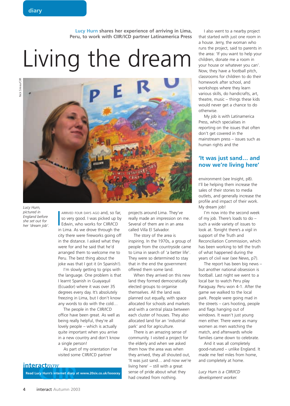**Lucy Hurn shares her experience of arriving in Lima, Peru, to work with CIIR/ICD partner Latinamerica Press**

# Living the dream



*Lucy Hurn, pictured in England before she set out for her 'dream job'.*

ARRIVED FOUR DAYS AGO and, so fails of very good. I was picked up b Edwin, who works for CIIR/ICD in Lima. As we drove through the ARRIVED FOUR DAYS AGO and, so far, so very good. I was picked up by Edwin, who works for CIIR/ICD city there were fireworks going off in the distance. I asked what they were for and he said that he'd arranged them to welcome me to Peru. The best thing about the joke was that I got it (in Spanish!).

I'm slowly getting to grips with the language. One problem is that I learnt Spanish in Guayaquil (Ecuador) where it was over 35 degrees every day. It's absolutely freezing in Lima, but I don't know any words to do with the cold…

The people in the CIIR/ICD office have been great. As well as being really helpful, they're all lovely people – which is actually quite important when you arrive in a new country and don't know a single person!

As part of my orientation I've visited some CIIR/ICD partner

## **interact***now*

**Read Lucy Hurn's internet diary at www.20six.co.uk/looocey**

projects around Lima. They've really made an impression on me. Several of them are in an area called Villa El Salvador.

The story of the area is inspiring. In the 1970s, a group of people from the countryside came to Lima in search of 'a better life'. They were so determined to stay that in the end the government offered them some land.

When they arrived on this new land they formed democratically elected groups to organise themselves. All the land was planned out equally, with space allocated for schools and markets and with a central plaza between each cluster of houses. They also allocated land for an 'industrial park' and for agriculture.

There is an amazing sense of community. I visited a project for the elderly and when we asked them how the area was when they arrived, they all shouted out, 'It was just sand… and now we're living here' – still with a great sense of pride about what they had created from nothing.

I also went to a nearby project that started with just one room in a house. Jerry, the woman who runs the project, said to parents in the area: 'If you want to help your children, donate me a room in your house or whatever you can'. Now, they have a football pitch, classrooms for children to do their homework after school, and workshops where they learn various skills, do handicrafts, art, theatre, music – things these kids would never get a chance to do otherwise.

My job is with Latinamerica Press, which specialises in reporting on the issues that often don't get covered in the mainstream press – issues such as human rights and the

#### **'It was just sand… and now we're living here'**

environment (see Insight, p8). I'll be helping them increase the sales of their stories to media outlets, and generally increase the profile and impact of their work. My dream job!

I'm now into the second week of my job. There's loads to do – such a wide variety of issues to look at. Tonight there's a vigil in support of the Truth and Reconciliation Commission, which has been working to tell the truth of what happened during the years of civil war (see News, p7).

The report has been big news – but another national obsession is football. Last night we went to a local bar to watch Peru play Paraguay. Peru won 4-1. After the game we walked to the local park. People were going mad in the streets – cars hooting, people and flags hanging out of windows. It wasn't just young men either. There were as many women as men watching the match, and afterwards whole families came down to celebrate.

And it was all completely good-natured – unlike England. It made me feel miles from home, and completely at home.

*Lucy Hurn is a CIIR/ICD development worker.*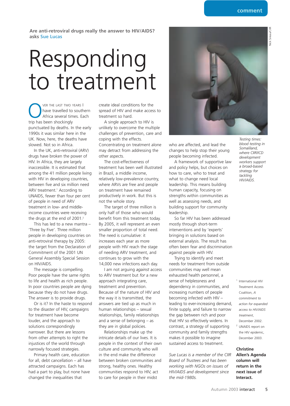Nick Sireau/CIIR **Jick Sireau/CIIR** 

**Are anti-retroviral drugs really the answer to HIV/AIDS? asks Sue Lucas**

# Responding to treatment

VER THE LAST TWO YEARS I<br>have travelled to south<br>Africa several times. Ex<br>trip has been shockingly have travelled to southern Africa several times. Each trip has been shockingly punctuated by deaths. In the early 1990s it was similar here in the UK. Now, here, the deaths have slowed. Not so in Africa.

In the UK, anti-retroviral (ARV) drugs have broken the power of HIV. In Africa, they are largely inaccessible. It is estimated that among the 41 million people living with HIV in developing countries, between five and six million need ARV treatment.<sup>1</sup> According to UNAIDS, fewer than four per cent of people in need of ARV treatment in low- and middleincome countries were receiving the drugs at the end of 2001.<sup>2</sup>

This has led to a new mantra – 'Three by Five'. Three million people in developing countries on anti-retroviral therapy by 2005: the target from the Declaration of Commitment of the 2001 UN General Assembly Special Session on HIV/AIDS.

The message is compelling. Poor people have the same rights to life and health as rich people. In poor countries people are dying because they do not have drugs. The answer is to provide drugs.

Or is it? In the haste to respond to the disaster of HIV, campaigns for treatment have become louder, and the approach to solutions correspondingly narrower. But there are lessons from other attempts to right the injustices of the world through narrowly focused strategies.

Primary health care, education for all, debt cancellation – all have attracted campaigns. Each has had a part to play, but none have changed the inequalities that

create ideal conditions for the spread of HIV and make access to treatment so hard.

A single approach to HIV is unlikely to overcome the multiple challenges of prevention, care and coping with the effects. Concentrating on treatment alone may detract from addressing the other aspects.

The cost-effectiveness of treatment has been well illustrated in Brazil, a middle income, relatively low-prevalence country, where ARVs are free and people on treatment have remained productively in work. But this is not the whole story.

The target of three million is only half of those who would benefit from this treatment today. By 2005, it will represent an even smaller proportion of total need. The need is cumulative: it increases each year as more people with HIV reach the stage of needing ARV treatment, and continues to grow with the 14,000 new infections each day.

I am not arguing *against* access to ARV treatment but *for* a new approach integrating care, treatment and prevention. Because of the nature of HIV and the way it is transmitted, the answers are tied up as much in human relationships – sexual relationships, family relationships and a sense of belonging – as they are in global policies.

Relationships make up the intricate details of our lives. It is people in the context of their own culture and community who will in the end make the difference between broken communities and strong, healthy ones. Healthy communities respond to HIV, act to care for people in their midst



who are affected, and lead the changes to help stop their young people becoming infected.

A framework of supportive law and policy helps, but choices on how to care, who to treat and what to change need local leadership. This means building human capacity, focusing on strengths within communities as well as assessing needs, and building support for community leadership.

So far HIV has been addressed mostly through short-term interventions and by 'experts' bringing in solutions based on external analysis. The result has often been fear and discrimination against people with HIV.

Trying to identify and meet needs for treatment from outside communities may well mean exhausted health personnel, a sense of helplessness and dependency in communities, and increasing numbers of people becoming infected with HIV – leading to ever-increasing demand, finite supply, and failure to narrow the gap between rich and poor that HIV so effectively widens. In contrast, a strategy of supporting community and family strengths makes it possible to imagine sustained access to treatment.

*Sue Lucas is a member of the CIIR Board of Trustees and has been working with NGOs on issues of HIV/AIDS and development since the mid-1980s.*

*Testing times: blood testing in Somaliland, where CIIR/ICD development workers support a broad-based strategy for tackling HIV/AIDS.*

- <sup>1</sup> International HIV Treatment Access Coalition, *A commitment to action for expanded access to HIV/AIDS treatment*, December 2002. <sup>2</sup> UNAIDS report on
- the HIV epidemic, December 2003.

**Christine Allen's Agenda column will return in the next issue of Interact.**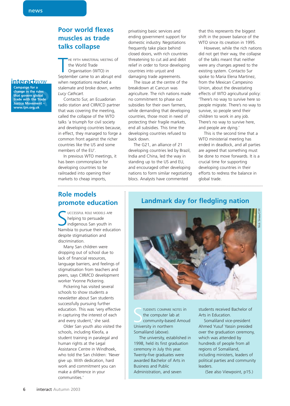## **Poor world flexes muscles as trade talks collapse**

HE FIFTH MINISTERIAL MEETING Of<br>the World Trade<br>Organisation (WTO) in<br>September came to an abrupt end HE FIFTH MINISTERIAL MEETING of the World Trade Organisation (WTO) in

when negotiations reached a stalemate and broke down, *writes Lucy Cathcart.*

Contacto Sur, an Ecuadorian radio station and CIIR/ICD partner that was covering the meeting, called the collapse of the WTO talks 'a triumph for civil society and developing countries because, in effect, they managed to forge a common front against the richer countries like the US and some members of the EU'.

In previous WTO meetings, it has been commonplace for developing countries to be railroaded into opening their markets to cheap imports,

privatising basic services and ending government support for domestic industry. Negotiations frequently take place behind closed doors, with rich countries threatening to cut aid and debt relief in order to force developing countries into unjust and damaging trade agreements.

The issue at the centre of the breakdown at Cancun was agriculture. The rich nations made no commitment to phase out subsidies for their own farmers, while demanding that developing countries, those most in need of protecting their fragile markets, end all subsidies. This time the developing countries refused to back down.

The G21, an alliance of 21 developing countries led by Brazil, India and China, led the way in standing up to the US and EU, and encouraged other developing nations to form similar negotiating blocs. Analysts have commented

that this represents the biggest shift in the power balance of the WTO since its creation in 1995.

However, while the rich nations did not get their way, the collapse of the talks meant that neither were any changes agreed to the existing system. Contacto Sur spoke to Maria Elena Martinez, from the Mexican Campesino Union, about the devastating effects of WTO agricultural policy: 'There's no way to survive here so people migrate. There's no way to survive, so people send their children to work in any job. There's no way to survive here, and people are dying.'

This is the second time that a WTO ministerial meeting has ended in deadlock, and all parties are agreed that something must be done to move forwards. It is a crucial time for supporting developing countries in their efforts to redress the balance in global trade.

## **Role models promote education**

SUCCESSFUL ROLE MODELS Are<br>
Indigenous San youth in<br>
Namibia to pursue their education UCCESSFUL ROLE MODELS Are helping to persuade indigenous San youth in despite stigmatisation and discrimination.

Many San children were dropping out of school due to lack of financial resources, language barriers, and feelings of stigmatisation from teachers and peers, says CIIR/ICD development worker Yvonne Pickering.

Pickering has visited several schools to show students a newsletter about San students successfully pursuing further education. This was 'very effective in capturing the interest of each and every student,' she said.

Older San youth also visited the schools, including Kleofa, a student training in paralegal and human rights at the Legal Assistance Centre in Windhoek, who told the San children: 'Never give up. With dedication, hard work and commitment you can make a difference in your communities.'

## **Landmark day for fledgling nation**



TUDENTS COMPARE I<br>
the computer lab<br>
community-base<br>
University in northern TUDENTS COMPARE NOTES in the computer lab at community-based Amoud Somaliland (above).

The university, established in 1998, held its first graduation ceremony in July this year. Twenty-five graduates were awarded Bachelor of Arts in Business and Public Administration, and seven

students received Bachelor of Arts in Education.

Somaliland vice-president Ahmed Yusuf Yassin presided over the graduation ceremony, which was attended by hundreds of people from all regions of Somaliland, including ministers, leaders of political parties and community leaders.

(See also Viewpoint, p15.)

**interact***now* **Campaign for a change in the rules**

**that govern global trade with the Trade Justice Movement – www.tjm.org.uk**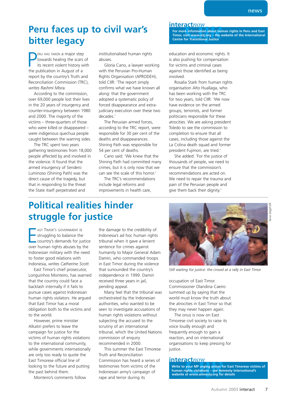## **Peru faces up to civil war's bitter legacy**

**PERU HAS TAKEN A major step towards healing the scars its recent violent history v**<br>the publication in August of a ERU HAS TAKEN a major step towards healing the scars of its recent violent history with report by the country's Truth and Reconciliation Commission (TRC), *writes Rashmi Misra.*

According to the commission, over 69,000 people lost their lives in the 20 years of insurgency and counter-insurgency between 1980 and 2000. The majority of the victims – three-quarters of those who were killed or disappeared – were indigenous quechua people caught between the warring sides.

The TRC spent two years gathering testimonies from 18,000 people affected by and involved in the violence. It found that the armed insurgency of Sendero Luminoso (Shining Path) was the direct cause of the tragedy, but that in responding to the threat the State itself perpetrated and

institutionalised human rights abuses.

Gloria Cano, a lawyer working with the Peruvian Pro-Human Rights Organisation (APRODEH), told CIIR: 'The report simply confirms what we have known all along: that the government adopted a systematic policy of forced disappearance and extrajudiciary execution over these two decades.'

The Peruvian armed forces, according to the TRC report, were responsible for 30 per cent of the deaths and disappearances. Shining Path was responsible for 54 per cent of deaths.

Cano said: 'We knew that the Shining Path had committed many crimes, but it is only now that we can see the scale of this horror.'

The TRC's recommendations include legal reforms and improvements in health care,

education and economic rights. It is also pushing for compensation for victims and criminal cases against those identified as being involved.

**Centre for Transitional Justice**

**For more information about human rights in Peru and East Timor, visit www.ictj.org – the website of the International**

**interact***now*

Rosalia Stark from human rights organisation Alto Huallaga, who has been working with the TRC for two years, told CIIR: 'We now have evidence on the armed groups, terrorists, and former politicians responsible for these atrocities. We are asking president Toledo to see the commission to completion to ensure that all cases, including those against the La Colina death squad and former president Fujimori, are tried.'

She added: 'For the justice of thousands of people, we need to ensure that the commission's recommendations are acted on. We need to repair the trauma and pain of the Peruvian people and give them back their dignity.'

## **Political realities hinder struggle for justice**

AST TIMOR'S GOVERNMENT IS<br>struggling to balance the<br>country's demands for justic<br>over human rights abuses by the AST TIMOR'S GOVERNMENT is struggling to balance the country's demands for justice Indonesian military with the need to foster good relations with Indonesia, *writes Catherine Scott.*

East Timor's chief prosecutor, Longuinhos Monteiro, has warned that the country could face a backlash internally if it fails to pursue cases against Indonesian human rights violators. He argued that East Timor has a moral obligation both to the victims and to the world.

However, prime minister Alkatiri prefers to leave the campaign for justice for the victims of human rights violations to the international community, while governments internationally are only too ready to quote the East Timorese official line of looking to the future and putting the past behind them.

Monteiro's comments follow

the damage to the credibility of Indonesia's ad hoc human rights tribunal when it gave a lenient sentence for crimes against humanity to Major General Adam Damiri, who commanded troops in East Timor during the violence that surrounded the country's independence in 1999. Damiri received three years in jail, pending appeal.

Many feel that the tribunal was orchestrated by the Indonesian authorities, who wanted to be seen to investigate accusations of human rights violations without subjecting the accused to the scrutiny of an international tribunal, which the United Nations commission of enquiry recommended in 2000.

This summer the East Timorese Truth and Reconciliation Commission has heard a series of testimonies from victims of the Indonesian army's campaign of rape and terror during its



*Still waiting for justice: the crowd at a rally in East Timor.*

occupation of East Timor. Commissioner Olandina Caeiro summed up by saying that the world must know the truth about the atrocities in East Timor so that they may never happen again.

The onus is now on East Timorese civil society to raise its voice loudly enough and frequently enough to gain a reaction, and on international organisations to keep pressing for justice.

#### **interact***now*

**Write to your MP urging action for East Timorese victims of human rights violations – see Amnesty International's website at www.amnesty.org for details**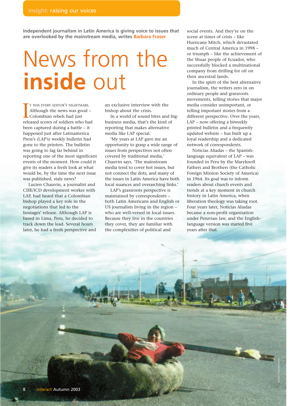**Independent journalism in Latin America is giving voice to issues that are overlooked by the mainstream media, writes Barbara Fraser**

# News from the **inside** out

I WAS EVERT EDTOK 3 NIGHTMAKE.<br>Although the news was good –<br>Colombian rebels had just<br>released scores of soldiers who had T WAS EVERY EDITOR'S NIGHTMARE. Although the news was good – Colombian rebels had just been captured during a battle – it happened just after Latinamerica Press's (LAP's) weekly bulletin had gone to the printers. The bulletin was going to lag far behind in reporting one of the most significant events of the moment. How could it give its readers a fresh look at what would be, by the time the next issue was published, stale news?

Lucien Chauvin, a journalist and CIIR/ICD development worker with LAP, had heard that a Colombian bishop played a key role in the negotiations that led to the hostages' release. Although LAP is based in Lima, Peru, he decided to track down the lead. Several hours later, he had a fresh perspective and an exclusive interview with the bishop about the crisis.

In a world of sound bites and bigbusiness media, that's the kind of reporting that makes alternative media like LAP special.

'My years at LAP gave me an opportunity to grasp a wide range of issues from perspectives not often covered by traditional media,' Chauvin says. 'The mainstream media tend to cover hot issues, but not connect the dots, and many of the issues in Latin America have both local nuances and overarching links.'

LAP's grassroots perspective is maintained by correspondents – both Latin Americans and English or US journalists living in the region – who are well-versed in local issues. Because they live in the countries they cover, they are familiar with the complexities of political and

social events. And they're on the scene at times of crisis – like Hurricane Mitch, which devastated much of Central America in 1998 – or triumph – like the achievement of the Shuar people of Ecuador, who successfully blocked a multinational company from drilling for oil on their ancestral lands.

In the spirit of the best alternative journalism, the writers zero in on ordinary people and grassroots movements, telling stories that major media consider unimportant, or telling important stories from a different perspective. Over the years, LAP – now offering a biweekly printed bulletin and a frequently updated website – has built up a loyal readership and a dedicated network of correspondents.

Noticias Aliadas – the Spanishlanguage equivalent of LAP – was founded in Peru by the Maryknoll Fathers and Brothers (the Catholic Foreign Mission Society of America) in 1964. Its goal was to inform readers about church events and trends at a key moment in church history in Latin America, when liberation theology was taking root. Four years later, Noticias Aliadas became a non-profit organisation under Peruvian law, and the Englishlanguage version was started five years after that.

Rainer Stöckelmann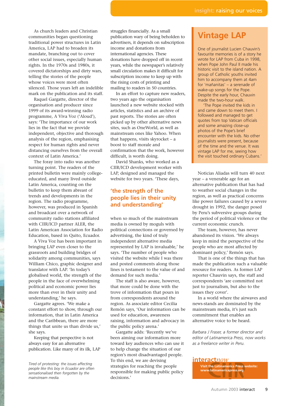As church leaders and Christian communities began questioning traditional power structures in Latin America, LAP had to broaden its mandate, branching out to cover other social issues, especially human rights. In the 1970s and 1980s, it covered dictatorships and dirty wars, telling the stories of the people whose voices were most often silenced. Those years left an indelible mark on the publication and its staff.

Raquel Gargatte, director of the organisation and producer since 1999 of its award-winning radio programme, A Viva Voz ('Aloud'), says: 'The importance of our work lies in the fact that we provide independent, objective and thorough analysis of the region, emphasising respect for human rights and never distancing ourselves from the overall context of Latin America.'

The foray into radio was another turning point. The readers of the printed bulletin were mainly collegeeducated, and many lived outside Latin America, counting on the bulletin to keep them abreast of trends and developments in the region. The radio programme, however, was produced in Spanish and broadcast over a network of community radio stations affiliated with CIIR/ICD partner ALER, the Latin American Association for Radio Education, based in Quito, Ecuador.

A Viva Voz has been important in bringing LAP even closer to the grassroots and building bridges of solidarity among communities, says William Chico, graphic designer and translator with LAP. 'In today's globalised world, the strength of the people in the face of overwhelming political and economic power lies more than ever in their unity and understanding,' he says.

Gargatte agrees. 'We make a constant effort to show, through our information, that in Latin America and the Caribbean, there are more things that unite us than divide us,' she says.

Keeping that perspective is not always easy for an alternative publication. Like many of its ilk, LAP struggles financially. As a small publication wary of being beholden to advertisers, it depends on subscription income and donations from international agencies. These donations have dropped off in recent years, while the newspaper's relatively small circulation makes it difficult for subscription income to keep up with the rising costs of printing and mailing to readers in 50 countries.

In an effort to capture new readers, two years ago the organisation launched a new website stocked with articles, statistics and an archive of past reports. The stories are often picked up by other alternative news sites, such as OneWorld, as well as mainstream ones like Yahoo. When that happens, visits skyrocket – a boost to staff morale and confirmation that the work, however difficult, is worth doing.

David Shanks, who worked as a CIIR/ICD development worker with LAP, designed and managed the website for two years. 'These days,

## **'the strength of the people lies in their unity and understanding'**

when so much of the mainstream media is owned by moguls with political connections or governed by advertising, the kind of truly independent alternative media represented by LAP is invaluable,' he says. 'The number of people who visited the website while I was there and posted comments along those lines is testament to the value of and demand for such media.'

The staff is also aware, however, that more could be done with the trove of information that pours in from correspondents around the region. As associate editor Cecilia Remón says, 'Our information can be used for education, awareness raising, information and advocacy in the public policy arena.'

Gargatte adds: 'Recently we've been aiming our information more toward key audiences who can use it to help change the situation of our region's most disadvantaged people. To this end, we are devising strategies for reaching the people responsible for making public policy decisions<sup>'</sup>

## **Vintage LAP**

One of journalist Lucien Chauvin's favourite memories is of a story he wrote for LAP from Cuba in 1998, when Pope John Paul II made his historic visit to the island nation. A group of Catholic youths invited him to accompany them at 4am for 'mañanitas' – a serenade of wake-up songs for the Pope. Despite the early hour, Chauvin made the two-hour walk.

'The Pope invited the kids in and came down to meet them. I followed and managed to get quotes from top Vatican officials and some amazing close-up photos of the Pope's brief encounter with the kids. No other journalists were present, because of the time and the venue. It was vintage LAP for me, seeing how the visit touched ordinary Cubans.'

Noticias Aliadas will turn 40 next year – a venerable age for an alternative publication that has had to weather social changes in the region, as well as practical concerns like power failures caused by a severe drought in 1992, the danger posed by Peru's subversive groups during the period of political violence or the current economic crunch.

The team, however, has never abandoned its vision. 'We always keep in mind the perspective of the people who are most affected by dominant policy,' Remón says.

That is one of the things that has made the publication such a valuable resource for readers. As former LAP reporter Chauvin says, the staff and correspondents 'are committed not just to journalism, but also to the issues they cover'.

In a world where the airwaves and news-stands are dominated by the mainstream media, it's just such commitment that enables an alternative voice to be heard.

*Barbara J Fraser, a former director and editor of Latinamerica Press, now works as a freelance writer in Peru.*

#### **interact***now*

*Tired of protesting: the issues affecting people like this boy in Ecuador are often sensationalised then forgotten by the mainstream media.*

**Visit the Latinamerica Press website: www.latinamericapress.org**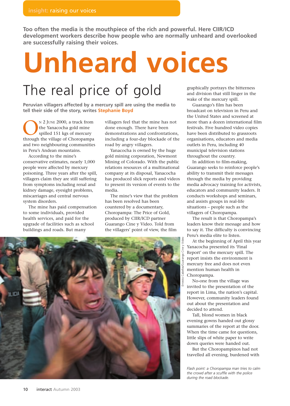**Too often the media is the mouthpiece of the rich and powerful. Here CIIR/ICD development workers describe how people who are normally unheard and overlooked are successfully raising their voices.**

# **Unheard voices**

## The real price of gold

**Peruvian villagers affected by a mercury spill are using the media to tell their side of the story, writes Stephanie Boyd**

N 2 JUNE 2000, a truck from<br>the Yanacocha gold mine<br>spilled 151 kgs of mercury<br>through the village of Choropampa the Yanacocha gold mine spilled 151 kgs of mercury and two neighbouring communities in Peru's Andean mountains.

According to the mine's conservative estimates, nearly 1,000 people were affected by mercury poisoning. Three years after the spill, villagers claim they are still suffering from symptoms including renal and kidney damage, eyesight problems, miscarriages and central nervous system disorders.

The mine has paid compensation to some individuals, provided health services, and paid for the upgrade of facilities such as school buildings and roads. But many

villagers feel that the mine has not done enough. There have been demonstrations and confrontations, including a four-day blockade of the road by angry villagers.

Yanacocha is owned by the huge gold mining corporation, Newmont Mining of Colorado. With the public relations resources of a multinational company at its disposal, Yanacocha has produced slick reports and videos to present its version of events to the media.

The mine's view that the problem has been resolved has been countered by a documentary, Choropampa: The Price of Gold, produced by CIIR/ICD partner Guarango Cine y Video. Told from the villagers' point of view, the film



graphically portrays the bitterness and division that still linger in the wake of the mercury spill.

Guarango's film has been broadcast on television in Peru and the United States and screened at more than a dozen international film festivals. Five hundred video copies have been distributed to grassroots organisations, educators and media outlets in Peru, including 40 municipal television stations throughout the country.

In addition to film-making, Guarango seeks to reinforce people's ability to transmit their messages through the media by providing media advocacy training for activists, educators and community leaders. It conducts workshops and seminars, and assists groups in real-life situations – people such as the villagers of Choropampa.

The result is that Choropampa's leaders know their message and how to say it. The difficulty is convincing Peru's media elite to listen.

At the beginning of April this year Yanacocha presented its 'Final Report' on the mercury spill. The report insists the environment is mercury free and does not even mention human health in Choropampa.

No-one from the village was invited to the presentation of the report in Lima, the nation's capital. However, community leaders found out about the presentation and decided to attend.

Tall, blond women in black evening gowns handed out glossy summaries of the report at the door. When the time came for questions, little slips of white paper to write down queries were handed out.

But the Choropampinos had not travelled all evening, burdened with

*Flash point: a Choropampa man tries to calm the crowd after a scuffle with the police during the road blockade.*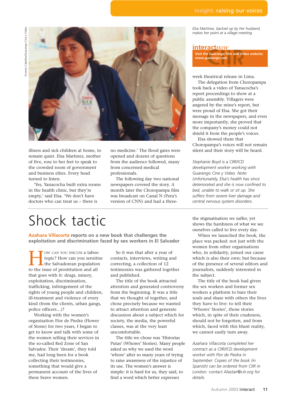

illness and sick children at home, to remain quiet. Elsa Martinez, mother of five, rose to her feet to speak to the crowded room of government and business elites. Every head turned to listen.

'Yes, Yanacocha built extra rooms in the health clinic, but they're empty,' said Elsa. 'We don't have doctors who can treat us – there is

no medicine.' The flood gates were opened and dozens of questions from the audience followed, many from concerned medical professionals.

The following day two national newspapers covered the story. A month later the Choropampa film was broadcast on Canal N (Peru's version of CNN) and had a three-

## Shock tactic

**Azahara Villacorta reports on a new book that challenges the exploitation and discrimination faced by sex workers in El Salvador**

**HOMEON CAN YOU DISCUSS a taboo**<br>topic? How can you sensitive the Salvadorean population<br>to the issue of prostitution and all topic? How can you sensitise the Salvadorean population to the issue of prostitution and all that goes with it: drugs, misery, exploitation, discrimination, trafficking, infringement of the rights of young people and children, ill-treatment and violence of every kind (from the clients, urban gangs, police officers…)?

Working with the women's organisation Flor de Piedra (Flower of Stone) for two years, I began to get to know and talk with some of the women selling their services in the so-called Red Zone of San Salvador. Their 'dream', they told me, had long been for a book collecting their testimonies, something that would give a permanent account of the lives of these brave women.

So it was that after a year of contacts, interviews, writing and correcting, a collection of 12 testimonies was gathered together and published.

The title of the book attracted attention and generated controversy from the beginning. It was a title that we thought of together, and chose precisely because we wanted to attract attention and generate discussion about a subject which for society, the media, the powerful classes, was at the very least uncomfortable.

The title we chose was 'Historias Putas' (Whores' Stories). Many people asked us why we used the word 'whore' after so many years of trying to raise awareness of the injustice of its use. The women's answer is simple: it is hard for us, they said, to find a word which better expresses

*Elsa Martinez, backed up by her husband, makes her point at a village meeting.*

#### **interact***now*

**Visit the Guarango Film and Video website: www.guarango.com**

week theatrical release in Lima.

The delegation from Choropampa took back a video of Yanacocha's report proceedings to show at a public assembly. Villagers were angered by the mine's report, but were proud of Elsa. She got their message in the newspapers, and even more importantly, she proved that the company's money could not shield it from the people's voices.

Elsa showed them that Choropampa's voices will not remain silent and their story will be heard.

*Stephanie Boyd is a CIIR/ICD development worker working with Guarango Cine y Video. Note: Unfortunately, Elsa's health has since deteriorated and she is now confined to bed, unable to walk or sit up. She suffers from severe liver damage and central nervous system disorders.*

the stigmatisation we suffer, yet shows the harshness of what we see ourselves called to live every day.

When we launched the book, the place was packed: not just with the women from other organisations who, in solidarity, joined our cause which is also their own; but because of the presence of several editors and journalists, suddenly interested in the subject.

The title of the book had given the sex workers and former sex workers a platform to bare their souls and share with others the lives they have to live: to tell their 'Whores' Stories', those stories which, in spite of their crudeness, should not be forgotten, and from which, faced with this blunt reality, we cannot easily turn away.

*Azahara Villacorta completed her contract as a CIIR/ICD development worker with Flor de Piedra in September. Copies of the book (in Spanish) can be ordered from CIIR in London: contact Alastair@ciir.org for details.*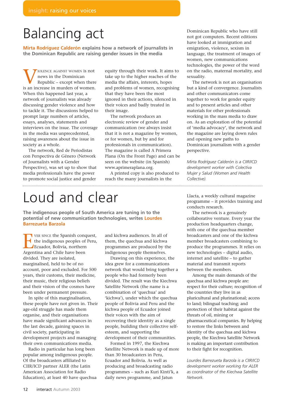## Balancing act

**Mirta Rodríguez Calderón explains how a network of journalists in the Dominican Republic are raising gender issues in the media**

VIOLENCE AGAINST WOMEN IS not<br>
Republic – except when there<br>
is an increase in murders of women. news in the Dominican Republic – except when there When this happened last year, a network of journalists was already discussing gender violence and how to tackle it. The discussions helped to prompt large numbers of articles, essays, analyses, statements and interviews on the issue. The coverage in the media was unprecedented, raising awareness about the issue in society as a whole.

The network, Red de Periodistas con Perspectiva de Género (Network of Journalists with a Gender Perspective), was set up to show that media professionals have the power to promote social justice and gender equity through their work. It aims to take up to the higher reaches of the media the affairs, interests, hopes and problems of women, recognising that they have been the most ignored in their actions, silenced in their voices and badly treated in their image.

The network produces an electronic review of gender and communication (we always insist that it is not a magazine by women, or for women, but by and for professionals in communication). The magazine is called A Primera Plana (On the Front Page) and can be seen on the website (in Spanish) www.aprimeraplana.org.

A printed copy is also produced to reach the many journalists in the 

## Loud and clear

**The indigenous people of South America are tuning in to the potential of new communication technologies, writes Lourdes Barrezueta Barzola**

THE SINCE THE Spanish conquest,<br>the indigenous peoples of Peru,<br>Ecuador, Bolivia, northern<br>Argentina and Chile have been the indigenous peoples of Peru, Ecuador, Bolivia, northern Argentina and Chile have been divided. They are isolated, marginalised, held to be of no account, poor and excluded. For 500 years, their customs, their medicine, their music, their religious beliefs and their vision of the cosmos have been under permanent pressure.

In spite of this marginalisation, these people have not given in. Their age-old struggle has made them organise, and their organisations have made significant advances in the last decade, gaining spaces in civil society, participating in development projects and managing their own communications media.

Radio in particular has long been popular among indigenous people. Of the broadcasters affiliated to CIIR/ICD partner ALER (the Latin American Association for Radio Education), at least 40 have quechua and kichwa audiences. In all of them, the quechua and kichwa programmes are produced by the indigenous people themselves.

Drawing on this experience, the idea grew for a communications network that would bring together a people who had formerly been divided. The result was the Kiechwa Satellite Network (the name is a combination of 'quechua' and 'kichwa'), under which the quechua people of Bolivia and Peru and the kichwa people of Ecuador joined their voices with the aim of recovering their identity as a single people, building their collective selfesteem, and supporting the development of their communities.

Formed in 1997, the Kiechwa Satellite Network is made up of more than 30 broadcasters in Peru, Ecuador and Bolivia. As well as producing and broadcasting radio programmes – such as Kuri Kinti'k, a daily news programme, and Jatun

Dominican Republic who have still not got computers. Recent editions have looked at immigration and emigration, violence, sexism in language, the treatment of images of women, new communications technologies, the power of the word on the radio, maternal mortality, and sexuality.

The network is not an organisation but a kind of convergence. Journalists and other communicators come together to work for gender equity and to present articles and other materials for other professionals working in the mass media to draw on. As an exploration of the potential of 'media advocacy', the network and the magazine are laying down rules and opening new paths to Dominican journalism with a gender perspective.

*Mirta Rodríguez Calderón is a CIIR/ICD development worker with Colectiva Mujer y Salud (Women and Health Collective).*

Llacta, a weekly cultural magazine programme – it provides training and conducts research.

The network is a genuinely collaborative venture. Every year the production headquarters change, with one of the quechua member broadcasters and one of the kichwa member broadcasters combining to produce the programmes. It relies on new technologies – digital audio, internet and satellite – to gather material and transmit reports between the members.

Among the main demands of the quechua and kichwa people are: respect for their culture; recognition of the countries they live in as pluricultural and plurinational; access to land; bilingual teaching; and protection of their habitat against the threats of oil, mining or pharmaceutical companies. By helping to restore the links between and identity of the quechua and kichwa people, the Kiechwa Satellite Network is making an important contribution to their fight for recognition.

*Lourdes Barrezueta Barzola is a CIIR/ICD development worker working for ALER as coordinator of the Kiechwa Satellite Network.*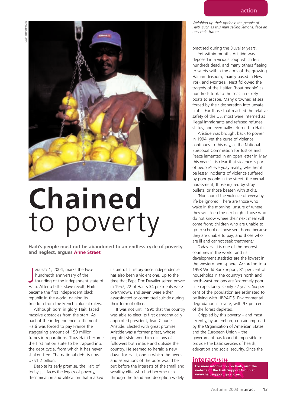

# **Chained**  to poverty

**Haiti's people must not be abandoned to an endless cycle of poverty and neglect, argues Anne Street**

ANUARY 1, 2004, marks the two-<br>hundredth anniversary of the<br>founding of the independent sta-<br>Haiti. After a bitter slave revolt, Haiti ANUARY 1, 2004, marks the twohundredth anniversary of the founding of the independent state of became the first independent black republic in the world, gaining its freedom from the French colonial rulers.

Although born in glory, Haiti faced massive obstacles from the start. As part of the independence settlement Haiti was forced to pay France the staggering amount of 150 million francs in reparations. Thus Haiti became the first nation state to be trapped into the debt cycle, from which it has never shaken free. The national debt is now US\$1.2 billion.

Despite its early promise, the Haiti of today still faces the legacy of poverty, discrimination and vilification that marked its birth. Its history since independence has also been a violent one. Up to the time that Papa Doc Duvalier seized power in 1957, 22 of Haiti's 34 presidents were overthrown, and seven were either assassinated or committed suicide during their term of office.

It was not until 1990 that the country was able to elect its first democratically appointed president, Jean Claude Aristide. Elected with great promise, Aristide was a former priest, whose populist style won him millions of followers both inside and outside the country. He seemed to herald a new dawn for Haiti, one in which the needs and aspirations of the poor would be put before the interests of the small and wealthy elite who had become rich through the fraud and deception widely

*Weighing up their options: the people of Haiti, such as this man selling lemons, face an uncertain future.*

practised during the Duvalier years.

Yet within months Aristide was deposed in a vicious coup which left hundreds dead, and many others fleeing to safety within the arms of the growing Haitian diaspora, mainly based in New York and Montreal. Next followed the tragedy of the Haitian 'boat people' as hundreds took to the seas in rickety boats to escape. Many drowned at sea, forced by their desperation into unsafe crafts. For those that reached the relative safety of the US, most were interned as illegal immigrants and refused refugee status, and eventually returned to Haiti.

Aristide was brought back to power in 1994, yet the curse of violence continues to this day, as the National Episcopal Commission for Justice and Peace lamented in an open letter in May this year: 'It is clear that violence is part of people's everyday reality, whether it be lesser incidents of violence suffered by poor people in the street, the verbal harassment, those injured by stray bullets, or those beaten with sticks.

'Nor should the violence of everyday life be ignored. There are those who wake in the morning, unsure of where they will sleep the next night; those who do not know where their next meal will come from; children who are unable to go to school or those sent home because they are unable to pay; and those who are ill and cannot seek treatment.'

Today Haiti is one of the poorest countries in the world, and its development statistics are the lowest in the western hemisphere. According to a 1998 World Bank report, 81 per cent of households in the country's north and north-west regions are 'extremely poor'. Life expectancy is only 52 years. Six per cent of the population are estimated to be living with HIV/AIDS. Environmental degradation is severe, with 97 per cent of the forest depleted.

Crippled by this poverty – and most recently, by an embargo on aid imposed by the Organisation of American States and the European Union – the government has found it impossible to provide the basic services of health, education and social security. Since the

#### **interact***now*

**For more information on Haiti, visit the website of the Haiti Support Group at www.haitisupport.gn.apc.org**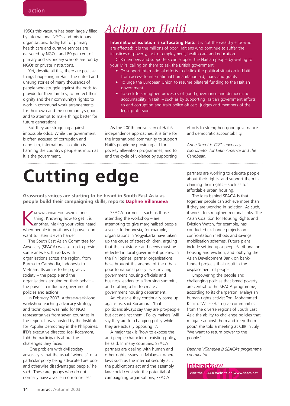1950s this vacuum has been largely filled by international NGOs and missionary organisations. Today half of primary health care and curative services are delivered by NGOs, and 80 per cent of primary and secondary schools are run by NGOs or private institutions.

Yet, despite all this, there are positive things happening in Haiti: the untold and unsung stories of many thousands of people who struggle against the odds to provide for their families; to protect their dignity and their community's rights; to work in communal work arrangements for their own and the community's good; and to attempt to make things better for future generations.

But they are struggling against impossible odds. While the government is often accused of corruption and nepotism, international isolation is harming the country's people as much as it is the government.

## *Action on Haiti*

**International isolation is suffocating Haiti.** It is not the wealthy elite who are affected: it is the millions of poor Haitians who continue to suffer the injustices of poverty, lack of employment, health care and education.

CIIR members and supporters can support the Haitian people by writing to your MPs, calling on them to ask the British government:

- To support international efforts to de-link the political situation in Haiti from access to international humanitarian aid, loans and grants
- To urge the European Union to resume bilateral funding to the Haitian government
- To seek to strengthen processes of good governance and democractic accountability in Haiti – such as by supporting Haitian government efforts to end corruption and train police officers, judges and members of the legal profession.

As the 200th anniversary of Haiti's independence approaches, it is time for the international community to support Haiti's people by providing aid for poverty alleviation programmes, and to end the cycle of violence by supporting

efforts to strengthen good governance and democratic accountability.

*Anne Street is CIIR's advocacy coordinator for Latin America and the Caribbean.*

# **Cutting edge**

**Grassroots voices are starting to be heard in South East Asia as people build their campaigning skills, reports Daphne Villanueva**

NOWING WHAT YOU WANT IS ONE thing. Knowing how to get it is another. Making your voice heard when people in positions of power don't want to listen is even harder.

The South East Asian Committee for Advocacy (SEACA) was set up to provide some answers. It works with organisations across the region, from Burma to Cambodia, Indonesia to Vietnam. Its aim is to help give civil society – the people and the organisations arguing on their behalf – the power to influence government policies and actions.

In February 2003, a three-week-long workshop teaching advocacy strategy and techniques was held for NGO representatives from seven countries in the region. It was hosted by the Institute for Popular Democracy in the Philippines. IPD's executive director, Joel Rocamora, told the participants about the challenges they faced.

'One problem with civil society advocacy is that the usual "winners" of a particular policy being advocated are poor and otherwise disadvantaged people,' he said. 'These are groups who do not normally have a voice in our societies.'

SEACA partners – such as those attending the workshop – are attempting to give marginalised people a voice. In Indonesia, for example, organisations in Yogyakarta have taken up the cause of street children, arguing that their existence and needs must be reflected in local government policies. In the Philippines, partner organisations have brought the agenda of the urban poor to national policy level, inviting government housing officials and business leaders to a 'housing summit', and drafting a bill to create a government housing department.

An obstacle they continually come up against is, said Rocamora, 'that politicians always say they are pro-people but act against them'. Policy makers 'will say they are for changing policy while they are actually opposing it'.

A major task is 'how to expose the anti-people character of existing policy,' he said. In many countries, SEACA partners are dealing with human and other rights issues. In Malaysia, where laws such as the internal security act, the publications act and the assembly law could constrain the potential of campaigning organisations, SEACA

partners are working to educate people about their rights, and support them in claiming their rights – such as for affordable urban housing.

The idea behind SEACA is that together people can achieve more than if they are working in isolation. As such, it works to strengthen regional links. The Asian Coalition for Housing Rights and Eviction Watch, for example, has conducted exchange projects on confrontation methods and savings mobilisation schemes. Future plans include setting up a people's tribunal on housing and eviction, and lobbying the Asian Development Bank on bankfunded projects that result in the displacement of people.

Empowering the people and challenging policies that breed poverty are central to the SEACA programme, according to its chairperson, Malaysian human rights activist Toni Mohammed Kasim. 'We seek to give communities from the diverse regions of South East Asia the ability to challenge policies that mitigate against them and keep them poor,' she told a meeting at CIIR in July. 'We want to return power to the people.'

*Daphne Villaneuva is SEACA's programme coordinator.*

#### **interact***now*

**Visit the SEACA website on www.seaca.net**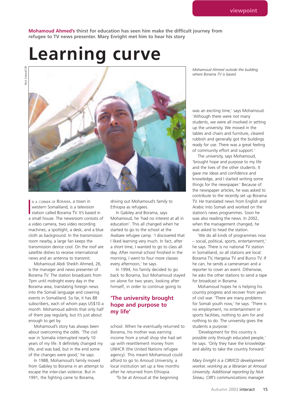**Mohamoud Ahmed's thirst for education has seen him make the difficult journey from refugee to TV news presenter. Mary Enright met him to hear his story**

## **Learning curve**

Nick Sireau/CIIR Nick Sireau/CIIF



N A CORNER OF BORAMA, a town in<br>western Somaliland, is a television<br>station called Borama TV. It's based in<br>a small house. The newsroom consists of N A CORNER OF BORAMA, a town in western Somaliland, is a television station called Borama TV. It's based in a video camera, two video recording machines, a spotlight, a desk, and a blue cloth as background. In the transmission room nearby, a large fan keeps the transmission device cool. On the roof are satellite dishes to receive international news and an antenna to transmit.

Mohamoud Abdi Sheikh Ahmed, 26, is the manager and news presenter of Borama TV. The station broadcasts from 7pm until midnight every day in the Borama area, translating foreign news into the Somali language and covering events in Somaliland. So far, it has 88 subscribers, each of whom pays US\$10 a month. Mohamoud admits that only half of them pay regularly, but it's just about enough to get by.

Mohamoud's story has always been about overcoming the odds. 'The civil war in Somalia interrupted nearly 10 years of my life. It definitely changed my life, and was bad, but in the end some of the changes were good,' he says.

In 1988, Mohamoud's family moved from Gabiley to Borama in an attempt to escape the inter-clan violence. But in 1991, the fighting came to Borama,

driving out Mohamoud's family to Ethiopia as refugees.

In Gabiley and Borama, says Mohamoud, he 'had no interest at all in education'. This all changed when he started to go to the school at the Awbare refugee camp. 'I discovered that I liked learning very much. In fact, after a short time, I wanted to go to class all day. After normal school finished in the morning, I went to four more classes every afternoon,' he says.

In 1994, his family decided to go back to Borama, but Mohamoud stayed on alone for two years, looking after himself, in order to continue going to

## **'The university brought hope and purpose to my life'**

school. When he eventually returned to Borama, his mother was earning income from a small shop she had set up with resettlement money from UNHCR (the United Nations refugee agency). This meant Mohamoud could afford to go to Amoud University, a local institution set up a few months after he returned from Ethiopia.

'To be at Amoud at the beginning

*Mohamoud Ahmed outside the building where Borama TV is based.*

was an exciting time,' says Mohamoud. 'Although there were not many students, we were all involved in setting up the university. We moved in the tables and chairs and furniture, cleared rubbish and generally got the buildings ready for use. There was a great feeling of community effort and support.'

The university, says Mohamoud, 'brought hope and purpose to my life and the lives of the other students. It gave me ideas and confidence and knowledge, and I started writing some things for the newspaper.' Because of the newspaper articles, he was asked to contribute to the recently set up Borama TV. He translated news from English and Arabic into Somali and worked on the station's news programmes. Soon he was also reading the news. In 2002, when the management changed, he was asked to head the station.

'We do all kinds of programmes now – social, political, sports, entertainment,' he says. There is no national TV station in Somaliland, so all stations are local: Borama TV, Hargeisa TV and Burco TV. If he can, he sends a cameraman and a reporter to cover an event. Otherwise, he asks the other stations to send a tape for broadcast in Borama.

Mohamoud hopes he is helping his country progress and recover from years of civil war. 'There are many problems for Somali youth now,' he says. 'There is no employment, no entertainment or sports facilities, nothing to aim for and nothing to do. The university gives the students a purpose.'

'Development for this country is possible only through educated people,' he says. 'Only they have the knowledge and ability to take the country forward.'

*Mary Enright is a CIIR/ICD development worker, working as a librarian at Amoud University. Additional reporting by Nick Sireau, CIIR's communications manager.*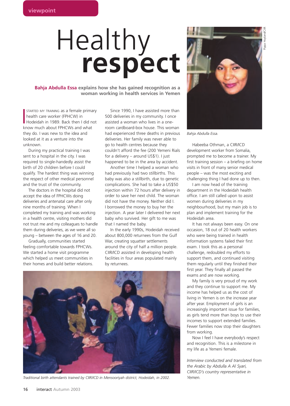# Healthy **respect**

**Bahja Abdulla Essa explains how she has gained recognition as a woman working in health services in Yemen**

STARTED MY TRAINING as a female primariealth care worker (FPHCW) in<br>Hodeidah in 1989. Back then I did r<br>know much about FPHCWs and what STARTED MY TRAINING as a female primary health care worker (FPHCW) in Hodeidah in 1989. Back then I did not they do. I was new to the idea and looked at it as a venture into the unknown.

During my practical training I was sent to a hospital in the city. I was required to single-handedly assist the birth of 20 children before I could qualify. The hardest thing was winning the respect of other medical personnel and the trust of the community.

The doctors in the hospital did not accept the idea of FPHCWs doing deliveries and antenatal care after only nine months of training. When I completed my training and was working in a health centre, visiting mothers did not trust me and my colleagues to handle them during deliveries, as we were all so young – between the ages of 16 and 20.

Gradually, communities started feeling comfortable towards FPHCWs. We started a home visit programme which helped us meet communities in their homes and build better relations.

Since 1990, I have assisted more than 500 deliveries in my community. I once assisted a woman who lives in a oneroom cardboard-box house. This woman had experienced three deaths in previous deliveries. Her family was never able to go to health centres because they couldn't afford the fee (200 Yemeni Rials for a delivery – around US\$1). I just happened to be in the area by accident.

Another time I helped a woman who had previously had two stillbirths. This baby was also a stillbirth, due to genetic complications. She had to take a US\$50 injection within 72 hours after delivery in order to save her next child. The woman did not have the money. Neither did I. I borrowed the money to buy her the injection. A year later I delivered her next baby who survived. Her gift to me was that I named the baby.

In the early 1990s, Hodeidah received about 800,000 returnees from the Gulf War, creating squatter settlements around the city of half a million people. CIIR/ICD assisted in developing health facilities in four areas populated mainly by returnees.



*Traditional birth attendants trained by CIIR/ICD in Mensooriyah district, Hodeidah, in 2002.*



*Bahja Abdulla Essa.* 

Habeeba Othman, a CIIR/ICD development worker from Somalia, prompted me to become a trainer. My first training session – a briefing on home visits in front of many senior medical people – was the most exciting and challenging thing I had done up to then.

I am now head of the training department in the Hodeidah health office. I am still called upon to assist women during deliveries in my neighbourhood, but my main job is to plan and implement training for the Hodeidah area.

It has not always been easy. On one occasion, 18 out of 20 health workers who were being trained in health information systems failed their first exam. I took this as a personal challenge, redoubled my efforts to support them, and continued visiting them regularly until they finished their first year. They finally all passed the exams and are now working.

My family is very proud of my work and they continue to support me. My income has helped us as the cost of living in Yemen is on the increase year after year. Employment of girls is an increasingly important issue for families, as girls tend more than boys to use their incomes to support extended families. Fewer families now stop their daughters from working.

Now I feel I have everybody's respect and recognition. This is a milestone in my life as a Yemeni female.

*Interview conducted and translated from the Arabic by Abdulla A Al Syari, CIIR/ICD's country representative in Yemen.*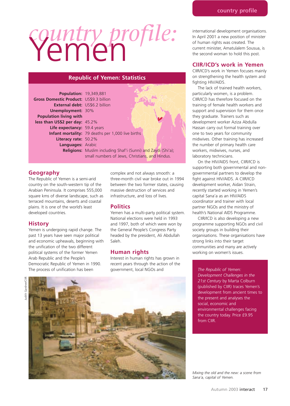# *country profile:* Yemen

#### **Republic of Yemen: Statistics**

| <b>Population: 19,349,881</b>           |                                                                      |  |
|-----------------------------------------|----------------------------------------------------------------------|--|
| Gross Domestic Product: US\$9.3 billion |                                                                      |  |
| <b>External debt:</b> US\$6.2 billion   |                                                                      |  |
| <b>Unemployment: 30%</b>                |                                                                      |  |
| <b>Population living with</b>           |                                                                      |  |
| less than US\$2 per day: 45.2%          |                                                                      |  |
| Life expectancy: 59.4 years             |                                                                      |  |
|                                         | Infant mortality: 79 deaths per 1,000 live births                    |  |
| Literacy rate: 50.2%                    |                                                                      |  |
| Languages: Arabic                       |                                                                      |  |
|                                         | <b>Religions:</b> Muslim including Shaf'i (Sunni) and Zaydi (Shi'a); |  |
|                                         | small numbers of Jews, Christians, and Hindus.                       |  |

#### **Geography**

The Republic of Yemen is a semi-arid country on the south-western tip of the Arabian Peninsula. It comprises 555,000 square kms of diverse landscape, such as terraced mountains, deserts and coastal plains. It is one of the world's least developed countries.

#### **History**

Yemen is undergoing rapid change. The past 13 years have seen major political and economic upheavals, beginning with the unification of the two different political systems of the former Yemen Arab Republic and the People's Democratic Republic of Yemen in 1990. The process of unification has been

complex and not always smooth: a three-month civil war broke out in 1994 between the two former states, causing massive destruction of services and infrastructure, and loss of lives.

محرجهم

#### **Politics**

Yemen has a multi-party political system. National elections were held in 1993 and 1997, both of which were won by the General People's Congress Party headed by the president, Ali Abdullah Saleh.

#### **Human rights**

Interest in human rights has grown in recent years through the action of the government, local NGOs and



international development organisations. In April 2001 a new position of minister of human rights was created. The current minister, Amatulalem Sousua, is the second woman to hold this post.

#### **CIIR/ICD's work in Yemen**

CIIR/ICD's work in Yemen focuses mainly on strengthening the health system and fighting HIV/AIDS.

The lack of trained health workers, particularly women, is a problem. CIIR/ICD has therefore focused on the training of female health workers and support and supervision for them once they graduate. Trainers such as development worker Aziza Abdulla Hassan carry out formal training over one to two years for community midwives. Other training has increased the number of primary health care workers, midwives, nurses, and laboratory technicians.

On the HIV/AIDS front, CIIR/ICD is supporting both governmental and nongovernmental partners to develop the fight against HIV/AIDS. A CIIR/ICD development worker, Aidan Strain, recently started working in Yemen's capital Sana'a as an HIV/AIDS coordinator and trainer with local partner NGOs and the ministry of health's National AIDS Programme.

CIIR/ICD is also developing a new programme supporting NGOs and civil society groups in building their organisations. These organisations have strong links into their target communities and many are actively working on women's issues.

*The Republic of Yemen: Development Challenges in the 21st Century* by Marta Colburn (published by CIIR) traces Yemen's development from ancient times to the present and analyses the social, economic and environmental challenges facing the country today. Price £9.95 from CIIR.

*Mixing the old and the new: a scene from Sana'a, capital of Yemen.*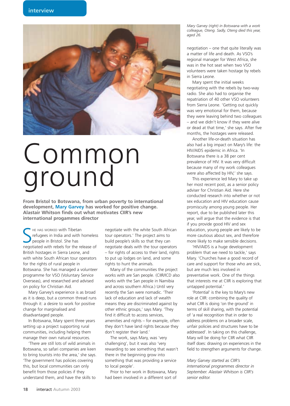

# Common ground

**From Bristol to Botswana, from urban poverty to international development, Mary Garvey has worked for positive change. Alastair Whitson finds out what motivates CIIR's new international progammes director**

SHE HAS WORKED with Tibetan<br>
people in Bristol. She has<br>
negotiated with rebels for the release of HE HAS WORKED with Tibetan refugees in India and with homeless people in Bristol. She has British hostages in Sierra Leone, and with white South African tour operators for the rights of rural people in Botswana. She has managed a volunteer programme for VSO (Voluntary Service Overseas), and researched and advised on policy for Christian Aid.

Mary Garvey's experience is as broad as it is deep, but a common thread runs through it: a desire to work for positive change for marginalised and disadvantaged people.

In Botswana, Mary spent three years setting up a project supporting rural communities, including helping them manage their own natural resources.

'There are still lots of wild animals in Botswana, so safari companies are keen to bring tourists into the area,' she says. 'The government has policies covering this, but local communities can only benefit from those policies if they understand them, and have the skills to

negotiate with the white South African tour operators.' The project aims to build people's skills so that they can negotiate deals with the tour operators – for rights of access to their land, rights to put up lodges on land, and some rights to hunt the animals.

Many of the communities the project works with are San people. (CIIR/ICD also works with the San people in Namibia and across southern Africa.) Until very recently the San were nomadic. 'Their lack of education and lack of wealth means they are discriminated against by other ethnic groups,' says Mary. 'They find it difficult to access services, amenities and rights – for example, often they don't have land rights because they don't register their land.'

The work, says Mary, was 'very challenging', but it was also 'very rewarding to see something that wasn't there in the beginning grow into something that was providing a service to local people'.

Prior to her work in Botswana, Mary had been involved in a different sort of

*Mary Garvey (right) in Botswana with a work colleague, Oteng. Sadly, Oteng died this year, aged 26.*

negotiation – one that quite literally was a matter of life and death. As VSO's regional manager for West Africa, she was in the hot seat when two VSO volunteers were taken hostage by rebels in Sierra Leone.

Mary spent the initial weeks negotiating with the rebels by two-way radio. She also had to organise the repatriation of 40 other VSO volunteers from Sierra Leone. 'Getting out quickly was very emotional for them, because they were leaving behind two colleagues – and we didn't know if they were alive or dead at that time,' she says. After five months, the hostages were released.

Another life-or-death situation has also had a big impact on Mary's life: the HIV/AIDS epidemic in Africa. 'In Botswana there is a 38 per cent prevalence of HIV. It was very difficult because many of my work colleagues were also affected by HIV,' she says.

This experience led Mary to take up her most recent post, as a senior policy adviser for Christian Aid. Here she conducted research into whether or not sex education and HIV education cause promiscuity among young people. Her report, due to be published later this year, will argue that the evidence is that if you provide good HIV and sex education, young people are likely to be more cautious about sex, and therefore more likely to make sensible decisions.

'HIV/AIDS is a huge development problem that we need to tackle,' says Mary. 'Churches have a good record of care and support for those who are sick, but are much less involved in preventative work. One of the things that interests me at CIIR is exploring that untapped potential.'

'Potential' is the key to Mary's new role at CIIR: combining the quality of what CIIR is doing 'on the ground' in terms of skill sharing, with the potential of 'a real recognition that in order to address problems on a broader scale, unfair policies and structures have to be addressed'. In taking on this challenge, Mary will be doing for CIIR what CIIR itself does: drawing on experiences in the field to strengthen arguments for change.

*Mary Garvey started as CIIR's international programmes director in September. Alastair Whitson is CIIR's senior editor.*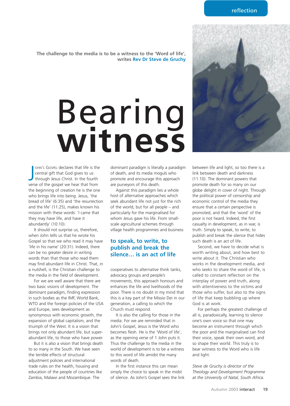**The challenge to the media is to be a witness to the 'Word of life', writes Rev Dr Steve de Gruchy**

# Bearing **witness**

OHN'S GOSPEL declares that life is the central gift that God gives to us through Jesus Christ. In the fourth verse of the gospel we hear that from OHN'S GOSPEL declares that life is the central gift that God gives to us through Jesus Christ. In the fourth the beginning of creation he is the one who brings life into being. Jesus, 'the bread of life' (6:35) and 'the resurrection and the life' (11:25), makes known his mission with these words: 'I came that they may have life, and have it abundantly' (10:10).

It should not surprise us, therefore, when John tells us that he wrote his Gospel so that we who read it may have 'life in his name' (20:31). Indeed, there can be no greater desire in writing words than that those who read them may find abundant life in Christ. That, in a nutshell, is the Christian challenge to the media in the field of development.

For we are well aware that there are two basic visions of development. The dominant paradigm, finding expression in such bodies as the IMF, World Bank, WTO and the foreign policies of the USA and Europe, sees development as synonymous with economic growth, the expansion of global capitalism, and the triumph of the West. It is a vision that brings not only abundant life, but superabundant life, to those who have power.

But it is also a vision that brings death to so many in the South. We have seen the terrible effects of structural adjustment policies and international trade rules on the health, housing and education of the people of countries like Zambia, Malawi and Mozambique. The

dominant paradigm is literally a paradigm of death, and its media moguls who promote and encourage this approach are purveyors of this death.

Against this paradigm lies a whole host of alternative approaches which seek abundant life not just for the rich of the world, but for all people – and particularly for the marginalised for whom Jesus gave his life. From smallscale agricultural schemes through village health programmes and business

## **to speak, to write, to publish and break the silence… is an act of life**

cooperatives to alternative think tanks, advocacy groups and people's movements, this approach honours and enhances the life and livelihoods of the poor. There is no doubt in my mind that this is a key part of the Missio Dei in our generation, a calling to which the Church must respond.

It is also the calling for those in the media. For we are reminded that in John's Gospel, Jesus is the Word who becomes flesh. He is the 'Word of life', as the opening verse of 1 John puts it. Thus the challenge to the media in the world of development is to be a witness to this word of life amidst the many words of death.

In the first instance this can mean simply the choice to speak in the midst of silence. As John's Gospel sees the link between life and light, so too there is a link between death and darkness (11:10). The dominant powers that promote death for so many on our globe delight in cover of night. Through the political power of censorship and economic control of the media they ensure that a certain perspective is promoted, and that the 'word' of the poor is not heard. Indeed, the first casualty in development, as in war, is truth. Simply to speak, to write, to publish and break the silence that hides such death is an act of life.

Second, we have to decide what is worth writing about, and how best to write about it. The Christian who works in the development media, and who seeks to share the word of life, is called to constant reflection on the interplay of power and truth, along with attentiveness to the victims and those who suffer, but also to the signs of life that keep bubbling up where God is at work.

For perhaps the greatest challenge of all is, paradoxically, learning to silence one's own voice so that one may become an instrument through which the poor and the marginalised can find their voice, speak their own word, and so shape their world. This truly is to bear witness to the Word who is life and light.

*Steve de Gruchy is director of the Theology and Development Programme at the University of Natal, South Africa.*